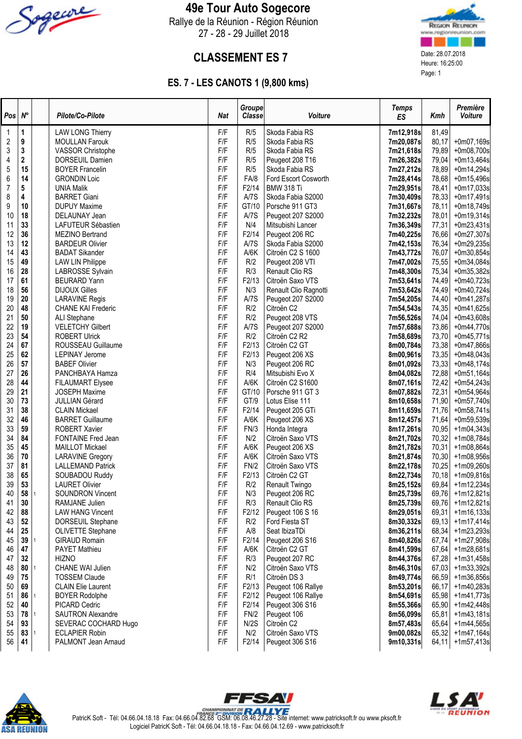

### 49e Tour Auto Sogecore

Rallye de la Réunion - Région Réunion 27 - 28 - 29 Juillet 2018



## **CLASSEMENT ES 7** Date: 28.07.2018<br>
Heure: 16:25:00

### ES. 7 - LES CANOTS 1 (9,800 kms)

| Pos                     | $N^\circ$ | Pilote/Co-Pilote                                 | Nat        | <b>Groupe</b><br><b>Classe</b> | Voiture                              | <b>Temps</b><br>ES     | Kmh            | Première<br>Voiture          |
|-------------------------|-----------|--------------------------------------------------|------------|--------------------------------|--------------------------------------|------------------------|----------------|------------------------------|
| 1                       | 1         | <b>LAW LONG Thierry</b>                          | F/F        | R/5                            | Skoda Fabia RS                       | 7m12,918s              | 81,49          |                              |
| $\overline{\mathbf{c}}$ | 9         | <b>MOULLAN Farouk</b>                            | F/F        | R/5                            | Skoda Fabia RS                       | 7m20,087s              | 80,17          | +0m07,169s                   |
| 3                       | 3         | VASSOR Christophe                                | F/F        | R/5                            | Skoda Fabia RS                       | 7m21,618s              | 79,89          | $+0m08,700s$                 |
| 4                       | 2         | <b>DORSEUIL Damien</b>                           | F/F        | R/5                            | Peugeot 208 T16                      | 7m26,382s              | 79,04          | $+0m13,464s$                 |
| 5                       | 15        | <b>BOYER Francelin</b>                           | F/F        | R/5                            | Skoda Fabia RS                       | 7m27,212s              | 78,89          | $+0m14,294s$                 |
| 6                       | 14        | <b>GRONDIN Loic</b>                              | F/F        | FA/8                           | Ford Escort Cosworth                 | 7m28,414s              | 78,68          | $+0m15,496s$                 |
| 7                       | 5         | <b>UNIA Malik</b>                                | F/F        | F2/14                          | <b>BMW 318 Ti</b>                    | 7m29,951s              | 78,41          | $+0m17,033s$                 |
| 8                       | 4         | <b>BARRET Giani</b>                              | F/F        | A/7S                           | Skoda Fabia S2000                    | 7m30,409s              | 78,33          | $+0m17,491s$                 |
| 9                       | 10        | <b>DUPUY Maxime</b>                              | F/F        | GT/10                          | Porsche 911 GT3                      | 7m31,667s              | 78,11          | $+0m18,749s$                 |
| 10                      | 18        | DELAUNAY Jean                                    | F/F        | A/7S                           | Peugeot 207 S2000                    | 7m32,232s              | 78,01          | $+0m19,314s$                 |
| 11                      | 33        | LAFUTEUR Sébastien                               | F/F        | N/4                            | Mitsubishi Lancer                    | 7m36,349s              | 77,31          | $+0m23,431s$                 |
| 12                      | 36        | MEZINO Bertrand                                  | F/F<br>F/F | F2/14                          | Peugeot 206 RC                       | 7m40,225s              | 76,66          | $+0m27,307s$                 |
| 13<br>14                | 12<br>43  | <b>BARDEUR Olivier</b>                           | F/F        | A/7S<br>A/6K                   | Skoda Fabia S2000                    | 7m42,153s              | 76,34          | $+0m29,235s$                 |
| 15                      | 49        | <b>BADAT Sikander</b><br><b>LAW LIN Philippe</b> | F/F        | R/2                            | Citroën C2 S 1600<br>Peugeot 208 VTI | 7m43,772s<br>7m47,002s | 76,07<br>75,55 | $+0m30,854s$<br>$+0m34,084s$ |
| 16                      | 28        | LABROSSE Sylvain                                 | F/F        | R/3                            | Renault Clio RS                      | 7m48,300s              | 75,34          | $+0m35,382s$                 |
| 17                      | 61        | <b>BEURARD Yann</b>                              | F/F        | F2/13                          | Citroën Saxo VTS                     | 7m53,641s              | 74,49          | $+0m40,723s$                 |
| 18                      | 56        | <b>DIJOUX Gilles</b>                             | F/F        | N/3                            | Renault Clio Ragnotti                | 7m53,642s              | 74,49          | $+0m40,724s$                 |
| 19                      | 20        | <b>LARAVINE Regis</b>                            | F/F        | A/7S                           | Peugeot 207 S2000                    | 7m54,205s              | 74,40          | +0m41,287s                   |
| 20                      | 48        | <b>CHANE KAI Frederic</b>                        | F/F        | R/2                            | Citroën C <sub>2</sub>               | 7m54,543s              | 74,35          | +0m41,625s                   |
| 21                      | 50        | ALI Stephane                                     | F/F        | R/2                            | Peugeot 208 VTS                      | 7m56,526s              | 74,04          | +0m43,608s                   |
| 22                      | 19        | <b>VELETCHY Gilbert</b>                          | F/F        | A/7S                           | Peugeot 207 S2000                    | 7m57,688s              | 73,86          | $+0m44,770s$                 |
| 23                      | 54        | <b>ROBERT Ulrick</b>                             | F/F        | R/2                            | Citroën C2 R2                        | 7m58,689s              | 73,70          | $+0m45,771s$                 |
| 24                      | 67        | ROUSSEAU Guillaume                               | F/F        | F2/13                          | Citroën C2 GT                        | 8m00,784s              | 73,38          | $+0m47,866s$                 |
| 25                      | 62        | <b>LEPINAY Jerome</b>                            | F/F        | F2/13                          | Peugeot 206 XS                       | 8m00,961s              | 73,35          | $+0m48,043s$                 |
| 26                      | 57        | <b>BABEF Olivier</b>                             | F/F        | N/3                            | Peugeot 206 RC                       | 8m01,092s              | 73,33          | $+0m48,174s$                 |
| 27                      | 26        | PANCHBAYA Hamza                                  | F/F        | R/4                            | Mitsubishi Evo X                     | 8m04,082s              | 72,88          | $+0m51,164s$                 |
| 28                      | 44        | <b>FILAUMART Elysee</b>                          | F/F        | A/6K                           | Citroën C2 S1600                     | 8m07,161s              | 72,42          | $+0m54,243s$                 |
| 29                      | 21        | <b>JOSEPH Maxime</b>                             | F/F        | GT/10                          | Porsche 911 GT 3                     | 8m07,882s              | 72,31          | +0m54,964s                   |
| 30                      | 73        | <b>JULLIAN Gérard</b>                            | F/F        | GT/9                           | Lotus Elise 111                      | 8m10,658s              | 71,90          | +0m57,740s                   |
| 31                      | 38        | <b>CLAIN Mickael</b>                             | F/F        | F2/14                          | Peugeot 205 GTi                      | 8m11,659s              | 71,76          | $+0m58,741s$                 |
| 32                      | 46        | <b>BARRET Guillaume</b>                          | F/F        | A/6K                           | Peugeot 206 XS                       | 8m12,457s              | 71,64          | $+0m59,539s$                 |
| 33                      | 59        | <b>ROBERT Xavier</b>                             | F/F        | FN/3                           | Honda Integra                        | 8m17,261s              | 70,95          | $+1m04,343s$                 |
| 34                      | 84        | FONTAINE Fred Jean                               | F/F        | N/2                            | Citroën Saxo VTS                     | 8m21,702s              | 70,32          | $+1m08,784s$                 |
| 35                      | 45        | <b>MAILLOT Mickael</b>                           | F/F        | A/6K                           | Peugeot 206 XS                       | 8m21,782s              | 70,31          | $+1m08,864s$                 |
| 36                      | 70        | <b>LARAVINE Gregory</b>                          | F/F        | A/6K                           | Citroën Saxo VTS                     | 8m21,874s              | 70,30          | +1m08,956s                   |
| 37                      | 81        | <b>LALLEMAND Patrick</b>                         | F/F        | FN/2                           | Citroën Saxo VTS                     | 8m22,178s              | 70,25          | +1m09,260s                   |
| 38                      | 65        | SOUBADOU Ruddy                                   | F/F        | F2/13                          | Citroën C2 GT                        | 8m22,734s              | 70,18          | $+1m09,816s$                 |
| 39                      | 53        | <b>LAURET Olivier</b>                            | F/F        | R/2                            | Renault Twingo                       | 8m25,152s              | 69,84          | $+1m12,234s$                 |
| 40                      | 58        | SOUNDRON Vincent                                 | F/F        | N/3                            | Peugeot 206 RC                       | 8m25,739s              | 69,76          | $+1m12,821s$                 |
| 41                      | 30        | RAMJANE Julien                                   | F/F        | R/3                            | Renault Clio RS                      | 8m25,739s              | 69,76          | $+1m12,821s$                 |
| 42                      | 88        | <b>LAW HANG Vincent</b>                          | F/F        | F2/12                          | Peugeot 106 S 16                     | 8m29,051s              | 69,31          | $+1m16,133s$                 |
| 43                      | 52        | DORSEUIL Stephane                                | F/F        | R/2                            | Ford Fiesta ST                       | 8m30,332s              | 69,13          | $+1m17,414s$                 |
| 44                      | 25        | OLIVETTE Stephane                                | F/F        | A/8                            | Seat IbizaTDi                        | 8m36,211s              | 68,34          | $+1m23,293s$                 |
| 45                      | 39        | <b>GIRAUD Romain</b>                             | F/F        | F2/14                          | Peugeot 206 S16                      | 8m40,826s              | 67,74          | $+1m27,908s$                 |
| 46                      | 47        | <b>PAYET Mathieu</b>                             | F/F        | A/6K                           | Citroën C2 GT                        | 8m41,599s              | 67,64          | $+1m28,681s$                 |
| 47                      | 32        | <b>HIZNO</b>                                     | F/F        | R/3                            | Peugeot 207 RC                       | 8m44,376s              | 67,28          | $+1m31,458s$                 |
| 48                      | 80        | CHANE WAI Julien                                 | F/F        | N/2                            | Citroën Saxo VTS                     | 8m46,310s              | 67,03          | $+1m33,392s$                 |
| 49                      | 75        | <b>TOSSEM Claude</b>                             | F/F        | R/1                            | Citroën DS 3                         | 8m49,774s              | 66,59          | $+1m36,856s$                 |
| 50                      | 69        | <b>CLAIN Elie Laurent</b>                        | F/F        | F2/13                          | Peugeot 106 Rallye                   | 8m53,201s              | 66,17          | +1m40,283s                   |
| 51                      | 86        | <b>BOYER Rodolphe</b>                            | F/F        | F2/12                          | Peugeot 106 Rallye                   | 8m54,691s              | 65,98          | $+1m41,773s$                 |
| 52                      | 40        | PICARD Cedric                                    | F/F        | F2/14                          | Peugeot 306 S16                      | 8m55,366s              | 65,90          | $+1m42,448s$                 |
| 53                      | 78        | <b>SAUTRON Alexandre</b>                         | F/F        | FN/2                           | Peugeot 106                          | 8m56,099s              | 65,81          | $+1m43,181s$                 |
| 54<br>55                | 93<br>83  | SEVERAC COCHARD Hugo<br><b>ECLAPIER Robin</b>    | F/F<br>F/F | N/2S<br>N/2                    | Citroën C2<br>Citroën Saxo VTS       | 8m57,483s<br>9m00,082s | 65,64          | $+1m44,565s$<br>$+1m47,164s$ |
| 56                      | 41        | PALMONT Jean Arnaud                              | F/F        | F2/14                          | Peugeot 306 S16                      | 9m10,331s              | 65,32<br>64,11 | $+1m57,413s$                 |
|                         |           |                                                  |            |                                |                                      |                        |                |                              |





PatricK Soft - Tél: 04.66.04.18.18 Fax: 04.66.04.82.68 GSM: 06.08.46.27.28 - Site internet: www.patricksoft.fr ou www.pksoft.fr Logiciel PatricK Soft - Tél: 04.66.04.18.18 - Fax: 04.66.04.12.69 - www.patricksoft.fr

FFSAV